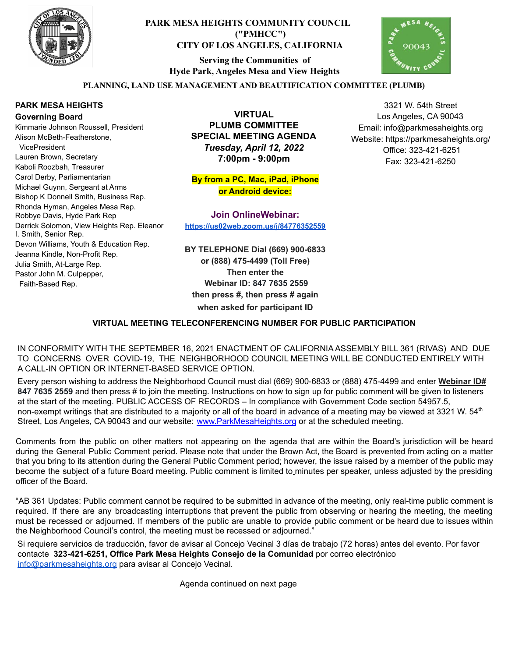

# **PARK MESA HEIGHTS COMMUNITY COUNCIL ("PMHCC") CITY OF LOS ANGELES, CALIFORNIA**

**Serving the Communities of Hyde Park, Angeles Mesa and View Heights**



3321 W. 54th Street Los Angeles, CA 90043 Email: info@parkmesaheights.org Website: https://parkmesaheights.org/ Office: 323-421-6251 Fax: 323-421-6250

## **PLANNING, LAND USE MANAGEMENT AND BEAUTIFICATION COMMITTEE (PLUMB)**

### **PARK MESA HEIGHTS Governing Board**

Kimmarie Johnson Roussell, President Alison McBeth-Featherstone, VicePresident Lauren Brown, Secretary Kaboli Roozbah, Treasurer Carol Derby, Parliamentarian Michael Guynn, Sergeant at Arms Bishop K Donnell Smith, Business Rep. Rhonda Hyman, Angeles Mesa Rep. Robbye Davis, Hyde Park Rep Derrick Solomon, View Heights Rep. Eleanor I. Smith, Senior Rep. Devon Williams, Youth & Education Rep. Jeanna Kindle, Non-Profit Rep. Julia Smith, At-Large Rep. Pastor John M. Culpepper, Faith-Based Rep.

**VIRTUAL PLUMB COMMITTEE SPECIAL MEETING AGENDA** *Tuesday, April 12, 2022* **7:00pm - 9:00pm**

**By from a PC, Mac, iPad, iPhone or Android device:**

**Join OnlineWebinar: <https://us02web.zoom.us/j/84776352559>**

**BY TELEPHONE Dial (669) 900-6833 or (888) 475-4499 (Toll Free) Then enter the Webinar ID: 847 7635 2559 then press #, then press # again when asked for participant ID**

### **VIRTUAL MEETING TELECONFERENCING NUMBER FOR PUBLIC PARTICIPATION**

IN CONFORMITY WITH THE SEPTEMBER 16, 2021 ENACTMENT OF CALIFORNIA ASSEMBLY BILL 361 (RIVAS) AND DUE TO CONCERNS OVER COVID-19, THE NEIGHBORHOOD COUNCIL MEETING WILL BE CONDUCTED ENTIRELY WITH A CALL-IN OPTION OR INTERNET-BASED SERVICE OPTION.

Every person wishing to address the Neighborhood Council must dial (669) 900-6833 or (888) 475-4499 and enter **Webinar ID# 847 7635 2559** and then press # to join the meeting. Instructions on how to sign up for public comment will be given to listeners at the start of the meeting. PUBLIC ACCESS OF RECORDS – In compliance with Government Code section 54957.5, non-exempt writings that are distributed to a majority or all of the board in advance of a meeting may be viewed at 3321 W. 54<sup>th</sup> Street, Los Angeles, CA 90043 and our website: [www.ParkMesaHeights.org](http://www.parkmesaheights.org/) or at the scheduled meeting.

Comments from the public on other matters not appearing on the agenda that are within the Board's jurisdiction will be heard during the General Public Comment period. Please note that under the Brown Act, the Board is prevented from acting on a matter that you bring to its attention during the General Public Comment period; however, the issue raised by a member of the public may become the subject of a future Board meeting. Public comment is limited to minutes per speaker, unless adjusted by the presiding officer of the Board.

"AB 361 Updates: Public comment cannot be required to be submitted in advance of the meeting, only real-time public comment is required. If there are any broadcasting interruptions that prevent the public from observing or hearing the meeting, the meeting must be recessed or adjourned. If members of the public are unable to provide public comment or be heard due to issues within the Neighborhood Council's control, the meeting must be recessed or adjourned."

Si requiere servicios de traducción, favor de avisar al Concejo Vecinal 3 días de trabajo (72 horas) antes del evento. Por favor contacte **323-421-6251, Office Park Mesa Heights Consejo de la Comunidad** por corre[o](mailto:XXX@NeighborhoodCouncil.org) electrónico [info@parkmesaheights.org](mailto:info@parkmesaheights.org) para avisar al Concejo Vecinal.

Agenda continued on next page